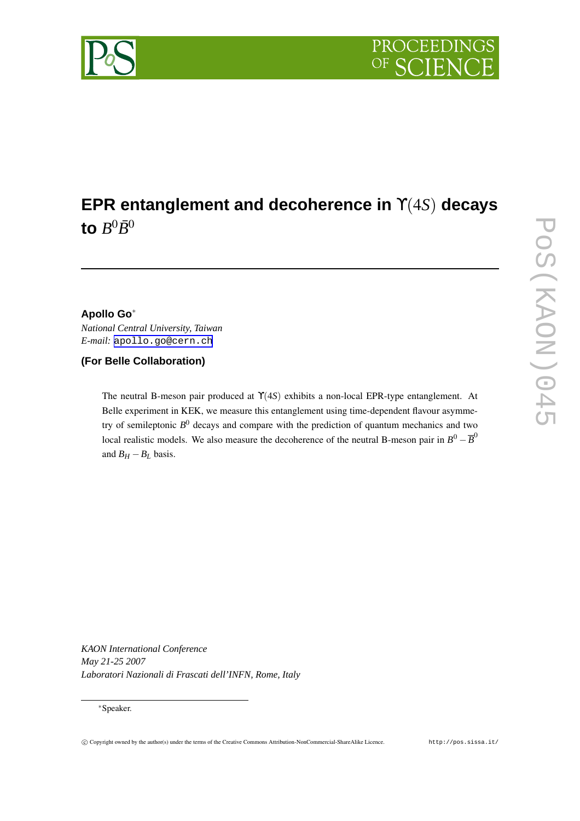

# **EPR entanglement and decoherence in** ϒ(4*S*) **decays** to  $B^0\bar B^0$

# **Apollo Go**∗

*National Central University, Taiwan E-mail:* [apollo.go@cern.ch](mailto:apollo.go@cern.ch)

# **(For Belle Collaboration)**

The neutral B-meson pair produced at ϒ(4*S*) exhibits a non-local EPR-type entanglement. At Belle experiment in KEK, we measure this entanglement using time-dependent flavour asymmetry of semileptonic *B* <sup>0</sup> decays and compare with the prediction of quantum mechanics and two local realistic models. We also measure the decoherence of the neutral B-meson pair in  $B^0 - \overline{B}^0$ and  $B_H - B_L$  basis.

*KAON International Conference May 21-25 2007 Laboratori Nazionali di Frascati dell'INFN, Rome, Italy*

<sup>∗</sup>Speaker.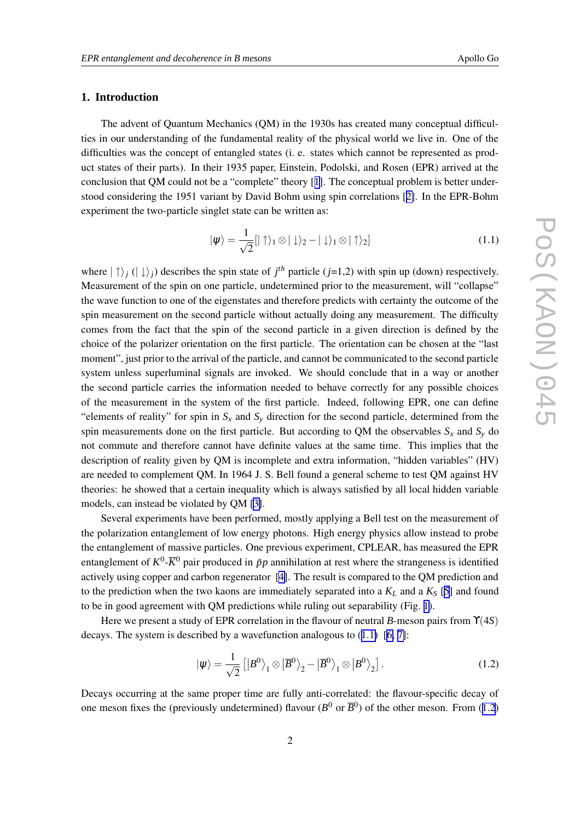### **1. Introduction**

The advent of Quantum Mechanics (QM) in the 1930s has created many conceptual difficulties in our understanding of the fundamental reality of the physical world we live in. One of the difficulties was the concept of entangled states (i. e. states which cannot be represented as product states of their parts). In their 1935 paper, Einstein, Podolski, and Rosen (EPR) arrived at the conclusion that QM could not be a "complete" theory [[1\]](#page-6-0). The conceptual problem is better understood considering the 1951 variant by David Bohm using spin correlations [[2\]](#page-6-0). In the EPR-Bohm experiment the two-particle singlet state can be written as:

$$
|\psi\rangle = \frac{1}{\sqrt{2}} [|\uparrow\rangle_1 \otimes |\downarrow\rangle_2 - |\downarrow\rangle_1 \otimes |\uparrow\rangle_2]
$$
 (1.1)

where  $|\uparrow\rangle_j$  ( $|\downarrow\rangle_j$ ) describes the spin state of  $j^{th}$  particle ( $j=1,2$ ) with spin up (down) respectively. Measurement of the spin on one particle, undetermined prior to the measurement, will "collapse" the wave function to one of the eigenstates and therefore predicts with certainty the outcome of the spin measurement on the second particle without actually doing any measurement. The difficulty comes from the fact that the spin of the second particle in a given direction is defined by the choice of the polarizer orientation on the first particle. The orientation can be chosen at the "last moment", just prior to the arrival of the particle, and cannot be communicated to the second particle system unless superluminal signals are invoked. We should conclude that in a way or another the second particle carries the information needed to behave correctly for any possible choices of the measurement in the system of the first particle. Indeed, following EPR, one can define "elements of reality" for spin in  $S<sub>x</sub>$  and  $S<sub>y</sub>$  direction for the second particle, determined from the spin measurements done on the first particle. But according to QM the observables  $S_x$  and  $S_y$  do not commute and therefore cannot have definite values at the same time. This implies that the description of reality given by QM is incomplete and extra information, "hidden variables" (HV) are needed to complement QM. In 1964 J. S. Bell found a general scheme to test QM against HV theories: he showed that a certain inequality which is always satisfied by all local hidden variable models, can instead be violated by QM [\[3\]](#page-6-0).

Several experiments have been performed, mostly applying a Bell test on the measurement of the polarization entanglement of low energy photons. High energy physics allow instead to probe the entanglement of massive particles. One previous experiment, CPLEAR, has measured the EPR entanglement of  $K^0$ - $\overline{K}^0$  pair produced in  $\bar{p}p$  annihilation at rest where the strangeness is identified actively using copper and carbon regenerator [\[4\]](#page-6-0). The result is compared to the QM prediction and to the prediction when the two kaons are immediately separated into a  $K_L$  and a  $K_S$  [[5\]](#page-6-0) and found to be in good agreement with QM predictions while ruling out separability (Fig. [1\)](#page-2-0).

Here we present a study of EPR correlation in the flavour of neutral *B*-meson pairs from ϒ(4*S*) decays. The system is described by a wavefunction analogous to  $(1.1)$  [[6,](#page-6-0) [7\]](#page-6-0):

$$
|\psi\rangle = \frac{1}{\sqrt{2}} \left[ |B^0\rangle_1 \otimes |\overline{B}^0\rangle_2 - |\overline{B}^0\rangle_1 \otimes |B^0\rangle_2 \right].
$$
 (1.2)

Decays occurring at the same proper time are fully anti-correlated: the flavour-specific decay of one meson fixes the (previously undetermined) flavour ( $B^0$  or  $\overline{B}{}^0$ ) of the other meson. From (1.2)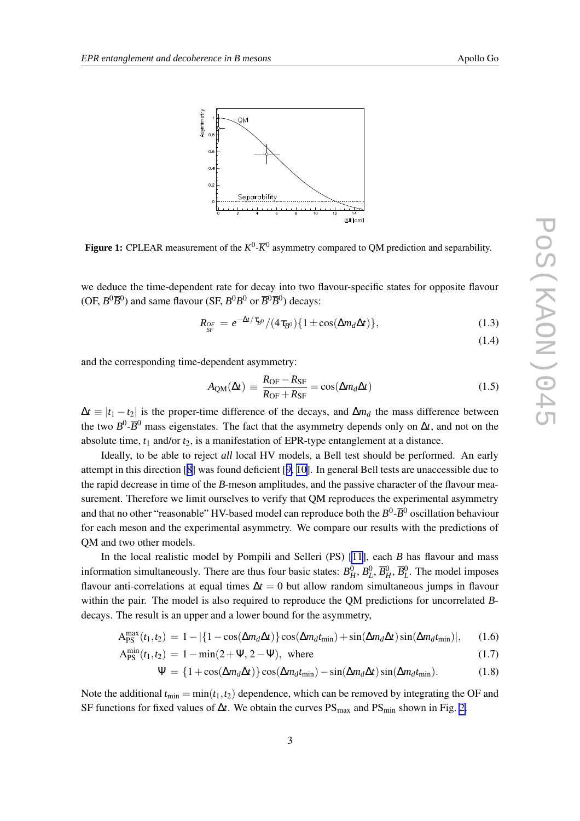<span id="page-2-0"></span>

**Figure 1:** CPLEAR measurement of the  $K^0$ - $\overline{K}^0$  asymmetry compared to QM prediction and separability.

we deduce the time-dependent rate for decay into two flavour-specific states for opposite flavour (OF,  $B^0\overline{B}^0$ ) and same flavour (SF,  $B^0B^0$  or  $\overline{B}^0\overline{B}^0$ ) decays:

$$
R_{SF} = e^{-\Delta t/\tau_{B^0}}/(4\tau_{B^0})\{1 \pm \cos(\Delta m_d \Delta t)\},
$$
 (1.3)

$$
(1.4)
$$

and the corresponding time-dependent asymmetry:

$$
A_{\rm QM}(\Delta t) \equiv \frac{R_{\rm OF} - R_{\rm SF}}{R_{\rm OF} + R_{\rm SF}} = \cos(\Delta m_d \Delta t) \tag{1.5}
$$

 $\Delta t \equiv |t_1 - t_2|$  is the proper-time difference of the decays, and  $\Delta m_d$  the mass difference between the two  $B^0$ - $\overline{B}{}^0$  mass eigenstates. The fact that the asymmetry depends only on  $\Delta t$ , and not on the absolute time,  $t_1$  and/or  $t_2$ , is a manifestation of EPR-type entanglement at a distance.

Ideally, to be able to reject *all* local HV models, a Bell test should be performed. An early attempt in this direction [[8](#page-6-0)] was found deficient [[9,](#page-6-0) [10\]](#page-6-0). In general Bell tests are unaccessible due to the rapid decrease in time of the *B*-meson amplitudes, and the passive character of the flavour measurement. Therefore we limit ourselves to verify that QM reproduces the experimental asymmetry and that no other "reasonable" HV-based model can reproduce both the  $B^0$ - $\overline{B}{}^0$  oscillation behaviour for each meson and the experimental asymmetry. We compare our results with the predictions of QM and two other models.

In the local realistic model by Pompili and Selleri (PS) [\[11](#page-6-0)], each *B* has flavour and mass information simultaneously. There are thus four basic states:  $B_H^0$ ,  $B_L^0$ ,  $\overline{B}_H^0$ ,  $\overline{B}_L^0$ . The model imposes flavour anti-correlations at equal times ∆*t* = 0 but allow random simultaneous jumps in flavour within the pair. The model is also required to reproduce the QM predictions for uncorrelated *B*decays. The result is an upper and a lower bound for the asymmetry,

$$
A_{\rm PS}^{\rm max}(t_1, t_2) = 1 - |\{1 - \cos(\Delta m_d \Delta t)\} \cos(\Delta m_d t_{\rm min}) + \sin(\Delta m_d \Delta t) \sin(\Delta m_d t_{\rm min})|, \quad (1.6)
$$

$$
A_{PS}^{min}(t_1, t_2) = 1 - \min(2 + \Psi, 2 - \Psi), \text{ where}
$$
\n(1.7)

$$
\Psi = \{1 + \cos(\Delta m_d \Delta t)\}\cos(\Delta m_d t_{\min}) - \sin(\Delta m_d \Delta t)\sin(\Delta m_d t_{\min}).\tag{1.8}
$$

Note the additional  $t_{\text{min}} = \min(t_1, t_2)$  dependence, which can be removed by integrating the OF and SF functions for fixed values of Δ*t*. We obtain the curves PS<sub>max</sub> and PS<sub>min</sub> shown in Fig. [2.](#page-3-0)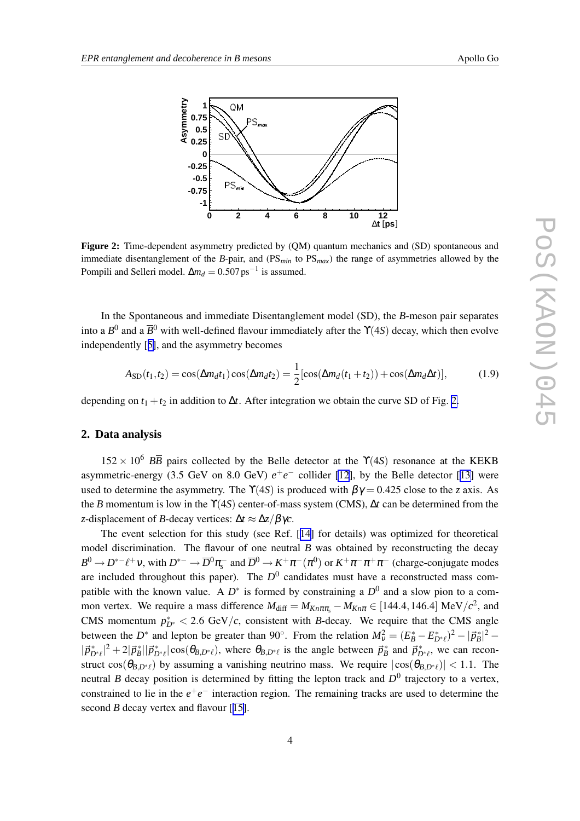<span id="page-3-0"></span>

**Figure 2:** Time-dependent asymmetry predicted by (QM) quantum mechanics and (SD) spontaneous and immediate disentanglement of the *B*-pair, and (PS*min* to PS*max*) the range of asymmetries allowed by the Pompili and Selleri model.  $\Delta m_d = 0.507 \,\text{ps}^{-1}$  is assumed.

In the Spontaneous and immediate Disentanglement model (SD), the *B*-meson pair separates into a  $B^0$  and a  $\overline{B}^0$  with well-defined flavour immediately after the  $\Upsilon(4S)$  decay, which then evolve independently [[5\]](#page-6-0), and the asymmetry becomes

$$
A_{\text{SD}}(t_1, t_2) = \cos(\Delta m_d t_1) \cos(\Delta m_d t_2) = \frac{1}{2} [\cos(\Delta m_d (t_1 + t_2)) + \cos(\Delta m_d \Delta t)], \tag{1.9}
$$

depending on  $t_1 + t_2$  in addition to  $\Delta t$ . After integration we obtain the curve SD of Fig. 2.

#### **2. Data analysis**

 $152 \times 10^6$  *BB* pairs collected by the Belle detector at the  $\Upsilon(4S)$  resonance at the KEKB asymmetric-energy (3.5 GeV on 8.0 GeV)  $e^+e^-$  collider [\[12](#page-6-0)], by the Belle detector [[13\]](#page-6-0) were used to determine the asymmetry. The  $\Upsilon(4S)$  is produced with  $\beta\gamma = 0.425$  close to the *z* axis. As the *B* momentum is low in the ϒ(4*S*) center-of-mass system (CMS), ∆*t* can be determined from the *z*-displacement of *B*-decay vertices: ∆*t* ≈ ∆*z*/βγ*c*.

The event selection for this study (see Ref. [[14\]](#page-6-0) for details) was optimized for theoretical model discrimination. The flavour of one neutral *B* was obtained by reconstructing the decay  $B^0 \to D^{*-}\ell^+\nu$ , with  $D^{*-} \to \overline{D}^0 \pi^-_s$  and  $\overline{D}^0 \to K^+ \pi^- (\pi^0)$  or  $K^+ \pi^- \pi^+ \pi^-$  (charge-conjugate modes are included throughout this paper). The  $D^0$  candidates must have a reconstructed mass compatible with the known value. A  $D^*$  is formed by constraining a  $D^0$  and a slow pion to a common vertex. We require a mass difference  $M_{\text{diff}} = M_{Kn\pi\pi_s} - M_{Kn\pi} \in [144.4, 146.4] \text{ MeV}/c^2$ , and CMS momentum  $p_{D^*}^* < 2.6 \text{ GeV}/c$ , consistent with *B*-decay. We require that the CMS angle between the *D*<sup>\*</sup> and lepton be greater than 90°. From the relation  $M_V^2 = (E_B^* - E_{D^*\ell}^*)^2 - |\vec{p}_B^*|^2 |\vec{p}_{D^* \ell}|^2 + 2|\vec{p}_B^*||\vec{p}_{D^* \ell}^*| \cos(\theta_{B, D^* \ell})$ , where  $\theta_{B, D^* \ell}$  is the angle between  $\vec{p}_B^*$  and  $\vec{p}_{D^* \ell}^*$ , we can reconstruct  $cos(\theta_{B,D^*})$  by assuming a vanishing neutrino mass. We require  $|cos(\theta_{B,D^*})| < 1.1$ . The neutral *B* decay position is determined by fitting the lepton track and  $D^0$  trajectory to a vertex, constrained to lie in the  $e^+e^-$  interaction region. The remaining tracks are used to determine the second *B* decay vertex and flavour [[15\]](#page-6-0).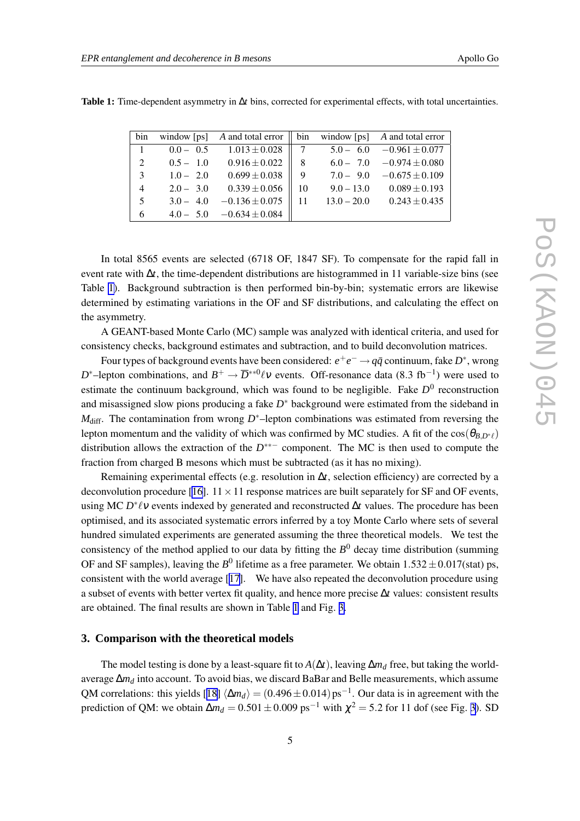| bin            |             | window [ps] A and total error $\parallel$ bin window [ps] A and total error |               |               |                                |
|----------------|-------------|-----------------------------------------------------------------------------|---------------|---------------|--------------------------------|
| $\overline{1}$ | $0.0 - 0.5$ | $1.013 \pm 0.028$                                                           | $\parallel$ 7 |               | $5.0 - 6.0 -0.961 \pm 0.077$   |
| 2              | $0.5 - 1.0$ | $0.916 \pm 0.022$                                                           | - 8           |               | $6.0 - 7.0 -0.974 \pm 0.080$   |
| 3              | $1.0 - 2.0$ | $0.699 \pm 0.038$                                                           | - 9           |               | $7.0 - 9.0 -0.675 \pm 0.109$   |
| $\overline{4}$ | $2.0 - 3.0$ | $0.339 \pm 0.056$                                                           | -10           |               | $9.0 - 13.0$ $0.089 \pm 0.193$ |
| 5              | $3.0 - 4.0$ | $-0.136 \pm 0.075$                                                          |               | $13.0 - 20.0$ | $0.243 \pm 0.435$              |
| 6              |             | $4.0 - 5.0 -0.634 \pm 0.084$                                                |               |               |                                |

**Table 1:** Time-dependent asymmetry in ∆*t* bins, corrected for experimental effects, with total uncertainties.

In total 8565 events are selected (6718 OF, 1847 SF). To compensate for the rapid fall in event rate with ∆*t*, the time-dependent distributions are histogrammed in 11 variable-size bins (see Table 1). Background subtraction is then performed bin-by-bin; systematic errors are likewise determined by estimating variations in the OF and SF distributions, and calculating the effect on the asymmetry.

A GEANT-based Monte Carlo (MC) sample was analyzed with identical criteria, and used for consistency checks, background estimates and subtraction, and to build deconvolution matrices.

Four types of background events have been considered:  $e^+e^- \rightarrow q\bar{q}$  continuum, fake  $D^*$ , wrong *D*<sup>\*</sup>-lepton combinations, and  $B^+ \to \overline{D}^{**0} \ell v$  events. Off-resonance data (8.3 fb<sup>-1</sup>) were used to estimate the continuum background, which was found to be negligible. Fake  $D^0$  reconstruction and misassigned slow pions producing a fake *D*<sup>∗</sup> background were estimated from the sideband in *M*<sub>diff</sub>. The contamination from wrong *D*<sup>∗</sup>–lepton combinations was estimated from reversing the lepton momentum and the validity of which was confirmed by MC studies. A fit of the  $cos(\theta_{BD} \cdot \theta)$ distribution allows the extraction of the *D* ∗∗− component. The MC is then used to compute the fraction from charged B mesons which must be subtracted (as it has no mixing).

Remaining experimental effects (e.g. resolution in  $\Delta t$ , selection efficiency) are corrected by a deconvolution procedure [\[16\]](#page-6-0).  $11 \times 11$  response matrices are built separately for SF and OF events, using MC *D*<sup>\*</sup>  $\ell$ ν events indexed by generated and reconstructed ∆*t* values. The procedure has been optimised, and its associated systematic errors inferred by a toy Monte Carlo where sets of several hundred simulated experiments are generated assuming the three theoretical models. We test the consistency of the method applied to our data by fitting the  $B^0$  decay time distribution (summing OF and SF samples), leaving the  $B^0$  lifetime as a free parameter. We obtain  $1.532 \pm 0.017$ (stat) ps, consistent with the world average [[17\]](#page-6-0). We have also repeated the deconvolution procedure using a subset of events with better vertex fit quality, and hence more precise ∆*t* values: consistent results are obtained. The final results are shown in Table 1 and Fig. [3.](#page-5-0)

#### **3. Comparison with the theoretical models**

The model testing is done by a least-square fit to  $A(\Delta t)$ , leaving  $\Delta m_d$  free, but taking the worldaverage ∆*m<sup>d</sup>* into account. To avoid bias, we discard BaBar and Belle measurements, which assume QM correlations: this yields [[18\]](#page-6-0)  $\langle \Delta m_d \rangle = (0.496 \pm 0.014) \text{ ps}^{-1}$ . Our data is in agreement with the prediction of QM: we obtain  $\Delta m_d = 0.501 \pm 0.009$  ps<sup>-1</sup> with  $\chi^2 = 5.2$  for 11 dof (see Fig. [3\)](#page-5-0). SD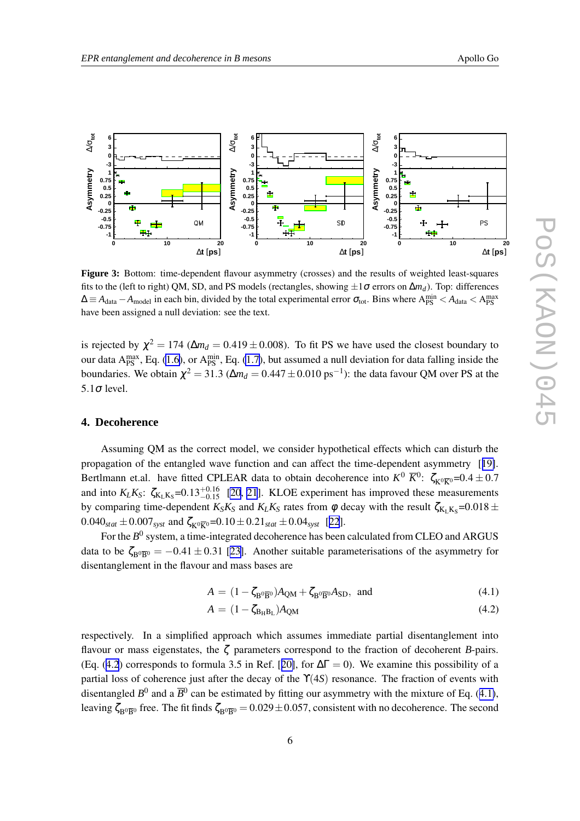<span id="page-5-0"></span>

**Figure 3:** Bottom: time-dependent flavour asymmetry (crosses) and the results of weighted least-squares fits to the (left to right) QM, SD, and PS models (rectangles, showing  $\pm 1\sigma$  errors on  $\Delta m_d$ ). Top: differences  $\Delta \equiv A_{\text{data}} - A_{\text{model}}$  in each bin, divided by the total experimental error  $\sigma_{\text{tot}}$ . Bins where  $A_{\text{PS}}^{\text{min}} < A_{\text{data}} < A_{\text{PS}}^{\text{max}}$ have been assigned a null deviation: see the text.

is rejected by  $\chi^2 = 174$  ( $\Delta m_d = 0.419 \pm 0.008$ ). To fit PS we have used the closest boundary to our data  $A_{PS}^{max}$ , Eq. [\(1.6\)](#page-2-0), or  $A_{PS}^{min}$ , Eq. [\(1.7\)](#page-2-0), but assumed a null deviation for data falling inside the boundaries. We obtain  $\chi^2 = 31.3 \; (\Delta m_d = 0.447 \pm 0.010 \; \text{ps}^{-1})$ : the data favour QM over PS at the 5.1<sup>σ</sup> level.

## **4. Decoherence**

Assuming QM as the correct model, we consider hypothetical effects which can disturb the propagation of the entangled wave function and can affect the time-dependent asymmetry [[19\]](#page-6-0). Bertlmann et.al. have fitted CPLEAR data to obtain decoherence into  $K^0 \overline{K}^0$ :  $\zeta_{K^0\overline{K}^0} = 0.4 \pm 0.7$ and into  $K_L K_S$ :  $\zeta_{K_L K_S}$ =0.13<sup>+0.16</sup> [\[20](#page-6-0), [21](#page-6-0)]. KLOE experiment has improved these measurements by comparing time-dependent  $K_S K_S$  and  $K_L K_S$  rates from  $\phi$  decay with the result  $\zeta_{K_L K_S}=0.018 \pm 0.018$  $0.040_{stat} \pm 0.007_{syst}$  and  $\zeta_{K0\overline{K0}} = 0.10 \pm 0.21_{stat} \pm 0.04_{syst}$  [[22](#page-7-0)].

For the  $B^0$  system, a time-integrated decoherence has been calculated from CLEO and ARGUS data to be  $\zeta_{B^0\overline{B}^0} = -0.41 \pm 0.31$  [[23\]](#page-7-0). Another suitable parameterisations of the asymmetry for disentanglement in the flavour and mass bases are

$$
A = (1 - \zeta_{B^0 \overline{B}^0})A_{QM} + \zeta_{B^0 \overline{B}^0}A_{SD}, \text{ and}
$$
 (4.1)

$$
A = (1 - \zeta_{B_H B_L}) A_{QM} \tag{4.2}
$$

respectively. In a simplified approach which assumes immediate partial disentanglement into flavour or mass eigenstates, the ζ parameters correspond to the fraction of decoherent *B*-pairs. (Eq. (4.2) corresponds to formula 3.5 in Ref. [[20\]](#page-6-0), for  $\Delta \Gamma = 0$ ). We examine this possibility of a partial loss of coherence just after the decay of the ϒ(4*S*) resonance. The fraction of events with disentangled  $B^0$  and a  $\overline{B}{}^0$  can be estimated by fitting our asymmetry with the mixture of Eq. (4.1), leaving  $\zeta_{B^0\overline{B}^0}$  free. The fit finds  $\zeta_{B^0\overline{B}^0} = 0.029 \pm 0.057$ , consistent with no decoherence. The second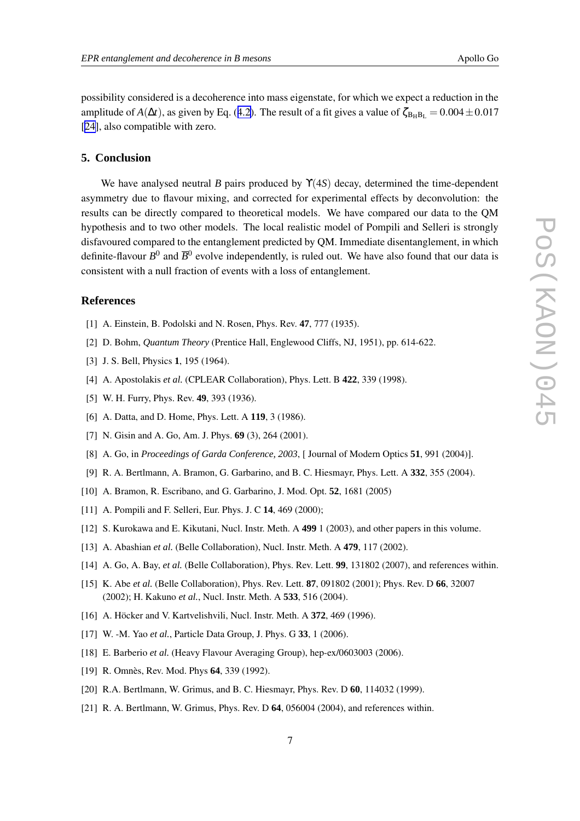<span id="page-6-0"></span>possibility considered is a decoherence into mass eigenstate, for which we expect a reduction in the amplitude of *A*( $\Delta t$ ), as given by Eq. ([4.2\)](#page-5-0). The result of a fit gives a value of  $\zeta_{BHB} = 0.004 \pm 0.017$ [[24\]](#page-7-0), also compatible with zero.

### **5. Conclusion**

We have analysed neutral *B* pairs produced by ϒ(4*S*) decay, determined the time-dependent asymmetry due to flavour mixing, and corrected for experimental effects by deconvolution: the results can be directly compared to theoretical models. We have compared our data to the QM hypothesis and to two other models. The local realistic model of Pompili and Selleri is strongly disfavoured compared to the entanglement predicted by QM. Immediate disentanglement, in which definite-flavour  $B^0$  and  $\overline{B}^0$  evolve independently, is ruled out. We have also found that our data is consistent with a null fraction of events with a loss of entanglement.

#### **References**

- [1] A. Einstein, B. Podolski and N. Rosen, Phys. Rev. **47**, 777 (1935).
- [2] D. Bohm, *Quantum Theory* (Prentice Hall, Englewood Cliffs, NJ, 1951), pp. 614-622.
- [3] J. S. Bell, Physics **1**, 195 (1964).
- [4] A. Apostolakis *et al.* (CPLEAR Collaboration), Phys. Lett. B **422**, 339 (1998).
- [5] W. H. Furry, Phys. Rev. **49**, 393 (1936).
- [6] A. Datta, and D. Home, Phys. Lett. A **119**, 3 (1986).
- [7] N. Gisin and A. Go, Am. J. Phys. **69** (3), 264 (2001).
- [8] A. Go, in *Proceedings of Garda Conference, 2003*, [ Journal of Modern Optics **51**, 991 (2004)].
- [9] R. A. Bertlmann, A. Bramon, G. Garbarino, and B. C. Hiesmayr, Phys. Lett. A **332**, 355 (2004).
- [10] A. Bramon, R. Escribano, and G. Garbarino, J. Mod. Opt. **52**, 1681 (2005)
- [11] A. Pompili and F. Selleri, Eur. Phys. J. C **14**, 469 (2000);
- [12] S. Kurokawa and E. Kikutani, Nucl. Instr. Meth. A **499** 1 (2003), and other papers in this volume.
- [13] A. Abashian *et al.* (Belle Collaboration), Nucl. Instr. Meth. A **479**, 117 (2002).
- [14] A. Go, A. Bay, *et al.* (Belle Collaboration), Phys. Rev. Lett. **99**, 131802 (2007), and references within.
- [15] K. Abe *et al.* (Belle Collaboration), Phys. Rev. Lett. **87**, 091802 (2001); Phys. Rev. D **66**, 32007 (2002); H. Kakuno *et al.*, Nucl. Instr. Meth. A **533**, 516 (2004).
- [16] A. Höcker and V. Kartvelishvili, Nucl. Instr. Meth. A **372**, 469 (1996).
- [17] W. -M. Yao *et al.*, Particle Data Group, J. Phys. G **33**, 1 (2006).
- [18] E. Barberio *et al.* (Heavy Flavour Averaging Group), hep-ex/0603003 (2006).
- [19] R. Omnès, Rev. Mod. Phys **64**, 339 (1992).
- [20] R.A. Bertlmann, W. Grimus, and B. C. Hiesmayr, Phys. Rev. D **60**, 114032 (1999).
- [21] R. A. Bertlmann, W. Grimus, Phys. Rev. D **64**, 056004 (2004), and references within.